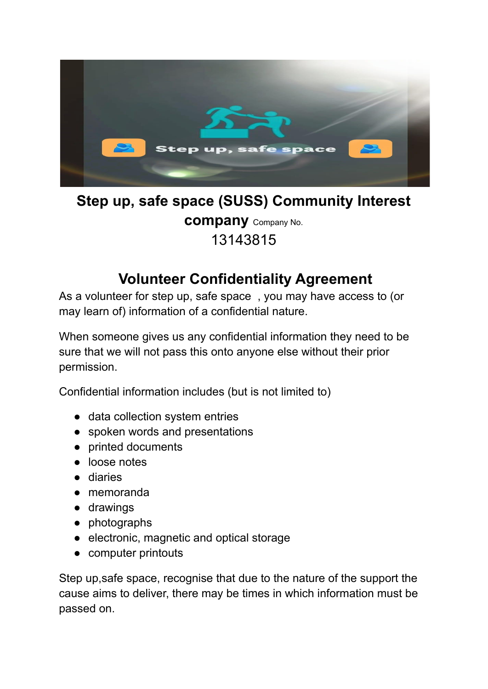

## **Step up, safe space (SUSS) Community Interest company** Company No. 13143815

## **Volunteer Confidentiality Agreement**

As a volunteer for step up, safe space , you may have access to (or may learn of) information of a confidential nature.

When someone gives us any confidential information they need to be sure that we will not pass this onto anyone else without their prior permission.

Confidential information includes (but is not limited to)

- data collection system entries
- spoken words and presentations
- printed documents
- loose notes
- diaries
- memoranda
- drawings
- photographs
- electronic, magnetic and optical storage
- computer printouts

Step up,safe space, recognise that due to the nature of the support the cause aims to deliver, there may be times in which information must be passed on.